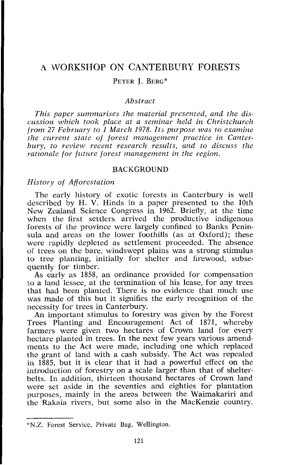# A 'WORKSHOP ON CANTERBURY FORESTS PETER I. BERG\*

## *Abstract*

*This paper summarises the material presented, and the discussion which took place a1 a seminar held in Christchurch from 27 February to 1 March 1978. Its purpose was to examine the current state of forest management practice in Canterbury, to review recent research results, and to discuss the rationale for future forest management in the region.* 

#### BACKGROUND

## *History of Afforestation*

The early history of exotic forests in Canterbury is well described by H. V. Hinds in a paper presented to the 10th New Zealand Science Congress in 1962. Briefly, at the time when the first settlers arrived the productive indigenous forests of the province were largely confined to Banks Peninsula and areas on the Iower foothills (as at Oxford); these were rapidly depleted as settlement proceeded. The absence of trees on the bare, windswept plains was a strong stimulus to tree planting, initially for shelter and firewood, subsequently for timber.

As early as 1858, an ordinance provided for compensation to a land lessee, at the termination of his lease, for any trees that had been planted. There is no evidence that much use was made of this but it signifies the early recognition of the necessity for trees in Canterbury.

An important stimulus to forestry was given by the Forest Trees Planting and Encouragement Act of 1871, whereby farmers were given two hectares of Crown land for every hectare planted in trees. In the next few years various amendments to the Act were made, including one which replaced the grant of land with a cash subsidy. The Act was rapealed in 1885, but it is clear that it had a powerful effect on the introduction of forestry on a scale larger than that of shelterbelts. In addition, thirteen thousand hectares of Crown land were set aside in the seventies anid eighties for plantation purposes, mainly in the areas between the Waimakariri and the Rakaia rivers, but some also in the MacKenzie country.

<sup>\*</sup>N.Z. Forest Service, Private Bag, Wellington.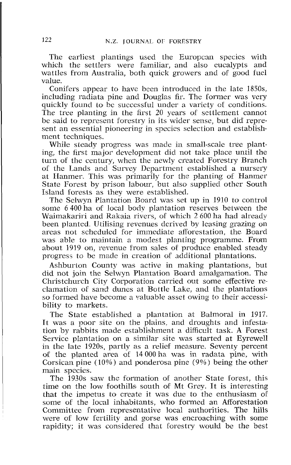The earliest plantings used the Europcan species with which the settlers were familiar, and also eucalypts and wattles from Australia, both quick growers and of good fuel value.

Conifers appear to have bcen introduced in the late 18SOs, including radiata pine and Douglas fir. The former was very quickly found to be successful under a variety of conditions. The tree planting in the first 20 years of settlement cannot be said to represent forestry in its wider sense, but did represent an essential pioneering in species selection and establishment techniques.

While steady progress was made in small-scale tree planting, the first major development did not take place until the turn of the century, when the newly created Forestry Branch of the Lands and Survey Department established a nursery at Hanmer. This was primarily for the planting of Hanmer State Forest by prison labour, but also supplied other South Island forests as they were established.

The Selwyn Plantation Board was set up in 1910 to control some 6400 ha of local body plantation reserves between the Waimakariri and Rakaia rivers, of which 2 600 ha had already been planted. Utilising revenues derived by leasing grazing on areas not scheduled for immediate afforestation, the Board was able to maintain a modest planting programme. From about 1919 on, revenue from sales of produce enabled steady progress to be made in creation of additional plantations.

Ashburton County was active in making plantations, but did not join the Selwyn Plantation Board amalgamation. The Christchurch City Corporation carried out some effective reclamation of sand dunes at Bottle Lake, and the plantations so formed have become a valuable asset owing to their accessibility to markets.

The State established a plantation at Balmoral in 1917. It was a poor site on the plains, and droughts and infestation by rabbits made establishment a difficult task. A Forest Service plantation on a similar site was started at Eyrewell in the late 1920s, partly as a relief measure. Seventy percent of the planted area of 14 000 ha was in radata pine, with Corsican pine  $(10\%)$  and ponderosa pine  $(9\%)$  being the other main species.

The 1930s saw the formation of another State forest, this time on the low foothills south of Mt Grey. It is interesting that the impetus to create it was due to the enthusiasm of some of the local inhabitants, who formed an Afforestation Committee from representative local authorities. The hills were of low fertility and gorse was encroaching with some rapidity; it was considered that forestry would be the best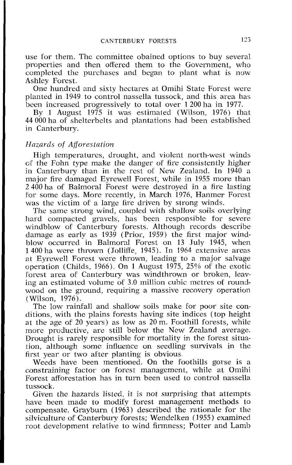use for them. The committee obained options to buy several properties and then offered them to the Government, who completed the purchases and began to plant what is now Ashley Forest.

One hundred and sixty hectares at Omihi State Forest were planted in 1949 to control nassella tussock, and this area has been increased progressively to total over 1200 ha in 1977.

By 1 August 1975 it was estimated (Wilson, 1976) that 44 000 ha of shelterbelts and plantations had been established in Canterbury.

#### *Hazards of Afforestation*

High temperatures, drought, and violent north-west winds **cf** the Fohn type make the danger of fire consistently higher in Canterbury than in the rest of New Zealand. In 1940 a major fire damaged Eyrewell Forest, while in 1955 more than 2.400 ha of Balmoral Forest were destroved in a fire lasting for some days. More recently, in March 1976, Hanmer Forest was the victim of a large fire driven by strong winds.

Thc same strong wind, coupled with shallow soils overlying hard compacted gravels, has been responsible for severe windblow of Canterbury forests. Although records describe damage as early as 1939 (Prior, 1959) the first major windblow occurred in Balmoral Forest on 13 July 1945, when 1400 ha wepe thrown (Jollifie, 1945). In 1964 extensive areas at Eyrewell Forest were thrown, leading to a major salvage operation (Childs, 1966). On 1 August 1975, 25% of the exotic forest area of Canterbury was windthrown or broken, leaving an estimated volume of 3.0 million cubic metres of roundwood on the ground, requiring a massive recovery operation (Wilson, 1976).

The low rainfall and shallow soils make for poor site conditions, with the plains forests having site indices (top height at the age of 20 years) as low as 20 m. Foothill forests, whilc more productive, are still below the New Zealand average. Drought is rarely responsible for mortality in the forest situation, although some influence on seedling survivals in the first year or two after planting is obvious

Weeds have been mentioned. On the foothills gorse is a constraining factor on forest management, while at Omihi Forest afforestation has in turn been used to control nassella tussock.

Given the hazards listed, it is not surprising that attempts have been made to modify forest management methods to compensate. Grayburn (1963) described the rationale for the silviculture of Canterbury forests; Wendelken (1955) examined root development relative to wind firmness; Potter and Lamb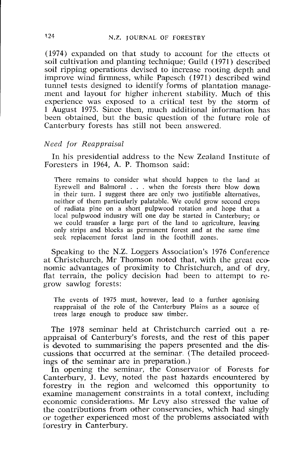(1974) expanded on that study to account for the eftecrs 01 soil cultivation and planting technique; Guild (1971) described soil ripping operations devised to increase rooting depth and improve wind firmness, while Papesch (1971) described wind tunnel tests designed to identify forms of plantation management and layout for higher inherent stability. Much of this experience was exposed to a critical test by the storm of 1 August 1975. Since then, much additional information has been obtained, but the basic question of the future role of Canterbury forests has still not been answered.

#### *Need for Reappraisal*

In his presidential address to the New Zealand Institute of Foresters in 1964, A. P. Thomson said:

There remains to consider what should happen to the land at Eyrewell and Balmoral . . . when the forests there blow down in their iurn. I suggest there are only two justifiable alternatives, neither of them particularly palatable. We could grow second crops of radiata pine on a short pulpwood rotation and hope that a local pulpwood industry will one day be started in Canterbury; or we could transfer a large part of the land to agriculture, leaving only strips and blocks as permanent forest and at the same time seek replacement forest land in the foothill zones.

Speaking to the N.Z. Loggers Association's 1976 Conference at Christchurch, Mr Thomson noted that, with the great eco nomic advantages of proximity to Christchurch, and of dry, flat terrain, the policy decision had been to attempt to regrow sawlog forests:

The events of 1975 must, however, lead to a further agonising reappraisal of the role of the Canterbury Plains as a source of trees large enough to produce saw timber.

The 1978 seminar held at Christchurch carried out a reappraisal of Canterbury's forests, and the rest of this paper is devoted to summarising the papers presented and the discussions that occurred at the seminar (The detailed proceedings of the seminar arc in preparation.)

In opening the seminar, the Conservator of Forests for Canterbury, J. Levy, noted the past hazards encountered by forestry in the region and welcomed this opportunity to examine management constraints in a total context, including economic considerations. Mr Levy also stressed the value of the contributions from other conservancies, which had singly or together experienced most of the problems associated with forestry in Canterbury.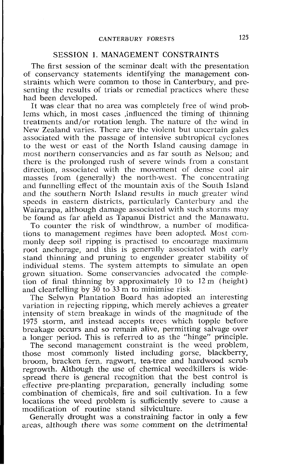## SESSION 1. MANAGEMENT CONSTRAINTS

The first session of the seminar dealt with the presentation of conservancy statements identifying the management constraints which were common to those in Canterbury, and presenting the results of trials or remedial practices where these had been developed.

It was clear that no area was completely free of wind problems which, in most cases ,influenced the timing of thinning treatments and/or rotation lengh. The nature of the wind in New Zealand varies. There are the violent but uncertain gales associated with the passage of intensive subtropical cyclones to the west or east of the North Island causing damage in most northern conservancies and as far south as Nelson: and there is the prolonged rush of severe winds from a constant direction, associated with the movement of dense cool air masses from (generally) the north-west. The concentrating and funnelling effect of the mountain axis or the South Island and the southern North Island results in much greater wind speeds in eastern districts, particularly Canterbury and the Wairarapa, although damage associated with such storms may be found as far afield as Tapanui District and the Manawatu.

To counter the risk of windthrow, a number of modifications to management regimes have been adoptcd. Most commonly deep soil ripping is practised to encourage maximum root anchorage, and this is generally associated with early stand thinning and pruning to engender greater stability of individual stems. The system attempts to simulate an open grown situation. Some conservancies advocated the completion of final thinning by approximately 10 to 12 m (height) and clearfelling by 30 to 33 m to minimise risk

The Selwyn Plantation Board has adopted an interesting variation in rejecting ripping, which merely achieves a greater intensity of stem breakage in winds of the magnitude of the 1975 storm, and instead accepts trees which topple before breakage occurs and so remain alive, permitting salvage over a longer period. This is referred to as the "hinge" principle.

The second management constraint is the weed problem, those most commonly listed including gorse, blackberry, broom, bracken fern. ragwort, tea-tree and hardwood scrub regrowth. Although the use of chemical weedkillers is widespread there is general recognition that the best control is effective pre-planting preparation, generally including some combination of chemicals, fire and soil cultivation. In a few locations the weed problem is sufficiently severe to cause a modification of routine stand silviculture.

Generally drought was a constraining factor in only a few areas, although there was some comment on the detrimental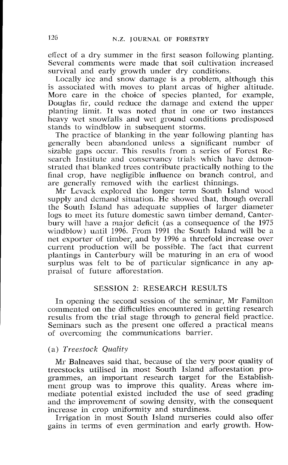effect of a dry summer in the first season following planting. Several comments were made that soil cultivation increased survival and early growth under dry conditions.

Locally ice and snow damage is a problem, although this is associated with moves to plant areas of higher altitude. More care in the choice of species planted, for example, Douglas fir, could reduce the damage and extend the upper planting limit. It was noted that in one or two instances heavy wet snowfalls and wet ground conditions predisposed stands to windblow in subsequent storms.

The practice of blanking in the year following planting has generally been abandoned unless a significant number of sizable gaps occur. This results from a series of Forest Research Institute and conservancy trials which have demonstrated that blanked trees contribute practically nothing to the final crop, have negligible influence on branch control, and are generally removed with the earliest thinnings.

Mr Lcvack explored the longer term South Island wood supply and demand situation. He showed that, though overall the South Island has adequate supplies of larger diameter logs to meet its future domestic sawn timber demand, Canterbury will have a major deficit (as a consequence of the 1975 windblow) until 1996. From 1991 the South Island will be a net exporter of timber, and by 1996 a threefold increase over current production will be possible. The fact that current plantings in Canterbury will be maturing in an era of wood surplus was felt to be of particular signficance in any appraisal of future afforestation.

# SESSION 2: RESEARCH RESULTS

In opening the second session of the seminar, Mr Familton commented on the difficulties encountered in getting research results from the trial stage through to general field practice. Seminars such as the present one offered a practical means of overcoming the communications barrier.

## (a) *Tveestoclc* Quality

Mr Balneaves said that, because of the very poor quality of treestocks utilised in most South Island afforestation programmes, an important research target for the Establishment group was to improve this quality. Areas where immediate potential existed included the use of seed grading and the improvement of sowing density, with the consequent increase in crop uniformity and sturdiness.

Irrigation in most South Island nurseries could also offer gains in terms of even germination and early growth. How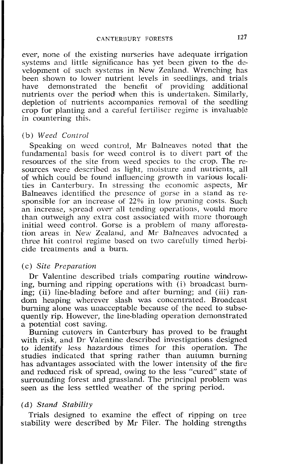ever, none of the existing nurseries have adequate irrigation systems and little significance has yet been given to the development of such systems in New Zealand. Wrenching has been shown to lower nutrient levels in seedlings, and trials<br>have demonstrated the benefit of providing additional demonstrated the benefit of providing additional nutrients over the period when this is undertaken. Similarly, depletion of nutrients accompanies removal of the seedling crop for planting and a careful fertiliser regime is invaluable in countering this.

## (b) *Weed* Control

Speaking on wccd control, Mr Balneaves noted that the fundamental basis for weed control is to divert part of the resources of the site from weed species to the crop. The resources were described as light, moisture and nutrients, all of which could be found influencing growth in various Iocalities in Canterbury. In stressing the economic aspects, Mr Balneaves idcntified the presence ot gorse in a stand as responsible for an increase of 22% in low pruning costs. Such an increase, spread over all tending operations, would more than outweigh any extra cost associated with more thorough initial weed control. Gorse is a problem of many afforestation areas in New Zealand, and Mr Balneaves advocated a three hit control regime bascd on two carefully timed herbicide treatments and a burn.

#### (c) Site Preparation

Dr Valentine described trials comparing routine windrowing, burning and ripping operations with  $(i)$  broadcast burning; (ii) line-blading before and after burning; and (iii) random heaping wherever slash was concentrated. Broadcast burning alone was unacceptable because of the need to subsequently rip. However, the line-blading operation demonstrated a potential cost saving.

Burning cutovers in Canterbury has proved to be fraught with risk, and Dr Valentine described investigations designed to identify less hazardous times for this operation. The studies indicated that spring rather than autumn burning has advantages associated with the lower intensity of the fire and reduced risk of spread, owing to the less "cured" state of surrounding fofrest and grassland. The principal problem was seen as the less settled weather of the spring period.

# (d) *Stand* **Stability**

Trials designed to examine the effect of ripping on tree stability were described by Mr Filer. The holding strengths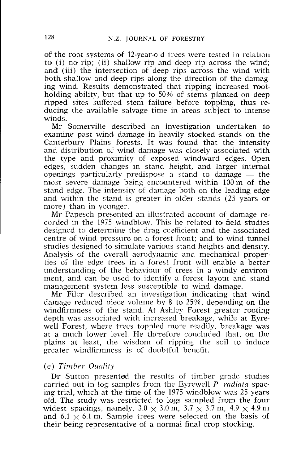of the root systems of 12-year-old trees were tested in relation to (i) no rip; (ii) shallow rip and deep rip across the wind; and (iii) the intersection of deep rips across the wind with both shallow and deep rips along the direction of the damaging wind. Results demonstrated that ripping increased motholding ability, but that up to 50% of stems planted on deep ripped sites suffered stem failure before toppling, thus, reducing the available salvage time in areas subject to intense winds.

Mr Somerville described an investigation undertaken to examine past winid damage in heavily stocked stands on the Canterbury Plains forests. It was found that the intensity and distribution of wind damage was closely associated with the type and proximity of exposed windward edges. Open edges, sudden changes in stand height, and larger internal openings particularly predispose a stand to damage  $-$  the most severe damage being encountered within 100 m of the stand edgc. The intensitv of damage both on the leading edge and within the stand is greater in older stands (25 years or more) than in younger.

Mr Papesch presented an illustrated account of damage recorded in the 1975 windblow. This he related to field studies designed to determine the drag coefficient and the associated centre of wind pressure on a forest front; and to wind tunnel studies designed to simulate various stand heights and density. Analysis of the overall aerodynamic and mechanical properties of the edge trees in a forest front will enable a better understanding of the behaviour of trees in a windy environment, and can be used to identify a forest layout and stand management system less susceptible to wind damage.

Mr Filer described an investigation indicating that wind damage reduced piecc volume by 8 to 2596, depending on the windfirmness of the stand. At Ashley Forest greater rooting depth was associated with increased breakage, while at Eyrewell Forest, where trees toppled more readily, breakage was at a much lower level. He therefore concluded that, on the plains at least, the wisdom of ripping the soil to induce greater windfirmness is of doubtful benefit.

## (e) Timber *Quality*

Dr Sutton presented the results of timber grade studies carried out in log samples from the Eyrewell P. *radiatn* spacing trial, which at the time of the 1975 windblow was 25 years olld. The study was restricted to logs sampled from the four widest spacings, namely,  $3.0 \times 3.0$  m,  $3.7 \times 3.7$  m,  $4.9 \times 4.9$  m and 6.1  $\times$  6.1 m. Sample trees were selected on the basis of their being representative of a normal final crop stacking.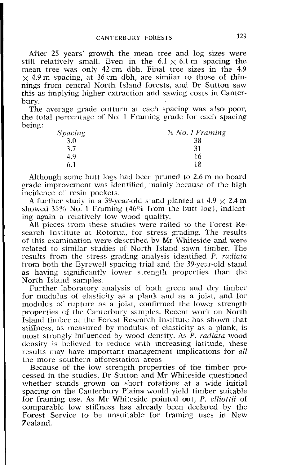After 25 years' growth the mean tree and log sizes were still relatively small. Even in the  $6.1 \times 6.1$  m spacing the mean tree was only 42 cm dbh. Final tree sizes in the 4.9  $\times$  4.9 m spacing, at 36 cm dbh, are similar to those of thin $n$ ings from central North Island forests, and Dr Sutton saw this as implying higher extraction and sawing costs in Canterbury.

The average grade outturn at each spacing was also poor, the total percentage of No. 1 Framing grade for each spacing being:

| Spacing | % No. 1 Framing |
|---------|-----------------|
| 3.0     | 38              |
| 3.7     | 31              |
| 4.9     | 16              |
| 6.1     | 18              |

Although some butt logs had been pruned to 2.6 m no board grade improvement was identified, mainly because of the high incidence oi resin pockets.

A further study in a 39-year-old stand planted at  $4.9 \times 2.4$  m showed  $35\%$  No. 1 Framing (46% from the butt log), indicating again a relatively low wood quality.

All pieces from these studies were railed to the Forest Research Institute at Rotorua, for stress grading. The results of this examination were described by  $Mr$  Whiteside and were related to similar studies of North Island sawn timber. The results from the stress grading analysis identified P. radiata from both the Eyrewell spacing trial and the 39-year-old stand as having significantly lower strength properties than the North Island samples

Further laboratory analysis of both green and dry timber for modulus of elasticity as a plank and as a joist, and for modulus of rupture as a joist, confirmed the lower strength properties of the Canterbury samples. Recent work on North Islandl timber at the Forest Research Institute has shown that stiffness, as measured by modulus of elasticity as a plank, is most strongly influenced by wood density. As P. *radiata* wood density is believed to reduce with increasing latitude, these results may have important management implications for *all* the more southern afforestation areas.

Because of the low strength properties of the timber processed in the studies, Dr Sutton and Mr Whiteside questioned whether stands grown on short rotations at a wide initial spacing on the Canterbury Plains would yield timber suitable ior framing use. As Mr Whiteside pointed out, P. **clliottii** of comparable low stiffness has already been declared by the Forest Service to be unsuitable for framing uses in New Zealand.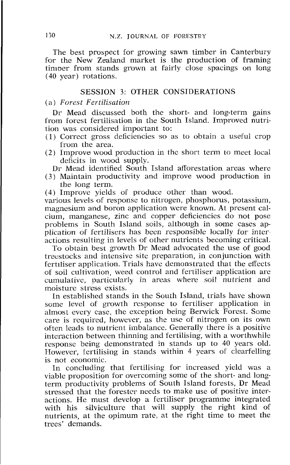The best prospect for growing sawn timber in Canterbury for the New Zealand market is the production of framing timper from stands grown at fairly close spacings on long (40 year) rotations.

## SESSJON 3: OTHER CONSIDERATIONS

#### (a) *Forest Fertiltsntion*

Dr Mead discussed both the short- and Long-term gains from forest fertilisation in the South Island. Improved nutrition was considered important to:

- (1) Correct gross deficiencies so as to obtain a useful crop from the area.
- $(2)$  Improve wood production in the short term to meet local deficits in wood supply.

Dr Mead identified South Island afforestation areas where

- $(3)$  Maintain productivity and improve wood production in the Jong term.
- $(4)$  Improve yields of produce other than wood.

various levels of response to nitrogen, phosphorus, potassium, magnesium and boron application were known. At present calcium, manganese, zinc and copper deficiencies do not pose problems in South Island soils, although in some cases application 01 fertilisers has been respansible locally for inter actions resulting in levels of other nutrients becoming critical.

To obtain best growth Dr Mead advocated the use of good trestocks and intensive site preparation, in conjunction with fertiliser application. Trials have demonstrated that the effects of soil cultivation, weed control and fertiliser application are cumulative, particularly in areas where soil nutrient and moisture stress exists.

In established stands in the South Island, trials have shown some level of growth response to fertiliser application in almost every case, the exception being Berwick Forest. Some care is required, however, as the use of nitrogen on its own often lcads to nutrient imbalance. Generallv there is a positive interaction between thinning and fertilising, with a worthwhile responsc being demonstrated in stands up to 40 years old. However, fertilising in stands within 4 years of clearfelling is not economic.

In concluding that fertilising for increased yield was a viable proposition for overcoming some of the short- and longterm productivity problems of South Island forests, Dr Mead stressed that the forester needs to make use of positive interactions. He must develop a fertiliser programme integrated with his silviculture that will supply the right kind of nutrients, at the opimum rate, at the right time to meet the trees' demands.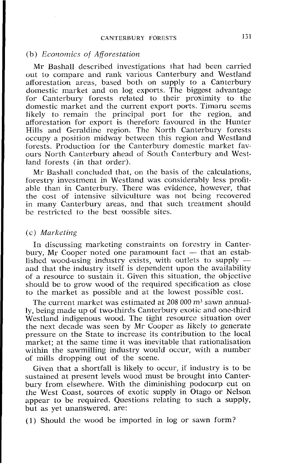#### (b) Economics of *Affovestation*

Mr Bashall described investigations that had been carried out to cornparc and rank various Canterbury and Westland afforestation areas, based both on supply to a Canterbury domestic market and on log exports. The biggest advantage for Canterbury forests related to their proximity to the domestic market and the current export ports. Timaru seems likely to remain the principal port for the region, and afforestation for export is therefore favoured in the Hunter Hills and Geraldine region. The North Canterbury forests occupy a position midway between this region and Westland forests. Production for the Canterbury domestic market fa\ ours North Canterbury ahead of South Canterbury and Westland forests (in that order).

Mr Bashall concluded that, on thc basis of the calculations, forestry investment in Westland was considerably less profitable than in Canterbury. There was evidence, however, that the cost of intensive silviculture was not being recovered in many Canterbury areas, and that such treatment should be restricted to the best possible sites.

## (c) Marketing

In discussing marketing constraints on forestry in Canterbury, Mr Cooper noted one paramount fact  $-$  that an established wood-using industry exists, with outlets to supply  $-$  and that the industry itself is dependent upon the availability of a resource to sustain it. Given this situation, the objective should be to grow wood of the required specification as close to the market as possible and at the lowest possible cost.

The current market was estimated at 208 000 m<sup>3</sup> sawn annually, being made up of two-thirds Canterbury exotic and me-third Westland indigenous wood. The tight resource situation over the next decade was seen by Mr Cooper as likely to generate pressure on the State to increase its contribution to the local market; at the same time it was inevitable that rationalisation within the sawmilling industry would occur, with a number of mills dropping out of the scene.

Given that a shortfall is likely to occur, if industry is to be sustained at present levels wood must be brought into Canterbury from elsewhere. With the diminishing podocarp cut on the West Coast, sources of exotic supply in Otago or Nelson appear to be required. Questions relating to such a supply, but as yet unanswered, are:

(1) Should the wood be imported in log or sawn form?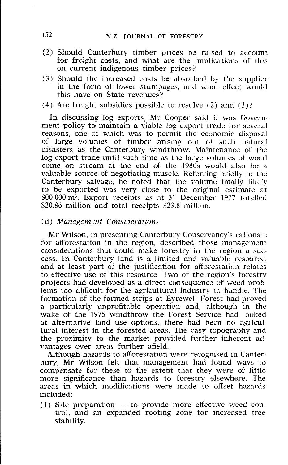- (2) Should Canterbury timber prices be raised to account for freight costs, and what are the implications of this on current indigenous timber prices?
- (3) Should the increased costs be absorbed by the supplier in the form of lower stumpages, and what effect would this have on State revenues?
- (4) Are freight subsidies possible to resolve (2) and (3)?

In discussing log exports, Mr Cooper said it was Government policy to maintain a viable log export trade for several reasons, me of which was to permit the cconomic disposal of large volumes of timber arising out of such natural disasters as the Canterburv windthrow. Maintenance of the log export trade until such time as the large volumes of wood come on stream at the end of the 1980s would also be a valuable source of negotiating muscle. Referring briefly to the Canterbury salvage, he noted that the volume finally likely to be exported was very close to the original estimate at 800 000m3. Export receipts as at 31 December 1977 totalled \$20.86 million and total receipts \$23.8 million.

## (d) *Management Considerations*

Mr Wilson, in presenting Canterbury Conservancy's rationale for afforestation in the region, described those management considerations that could make forestry in the region a success. In Canterbury land is a limited and valuable resource, and at least part of the justification for afforestation relates to effective use of this resource. Two of the region's forestry projects had developed as a direct consequence of weed problems too difficult for the agricultural industry to handle. The formation of the farmed strips at Eyrewell Forest had proved a particularly unprofitable operation and, although in the wake of the 1975 windthrow the Forest Service had looked at alternative land use options, there had been no agricultural interest in the forested areas. The easy topography and the proximity to the market provided further inherent advantages over areas further afield.

Although hazards to afforestation were recognised in Canterbury, Mr Wilson felt that management had found ways to compensate for these to the extent that they were of little more significance than hazards to forestry elsewhere. The areas in which modifications were made to offset hazards included:

 $(1)$  Site preparation  $-$  to provide more effective weed control, and an expanded rooting zone for increased tree stability.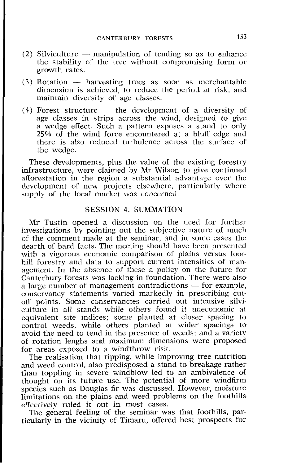- (2) Silviculture  $-$  manipulation of tending so as to enhance the stability of the tree without compromising form or growth rates.
- $(3)$  Rotation  $-$  harvesting trees as soon as merchantable dimension is achieved, to reduce the period at risk, and maintain diversity of age classes.
- (4) Forest structure  $-$  the development of a diversity of age classes in strips across the wind, designed to give a wedge effect. Such a pattern exposes a stand to only  $25\%$  of the wind force encountered at a bluff edge and there is also reduced turbulence across the surface of the wedge.

These developments, plus the value of the existing forestry infrastructure, were claimed by Mr Wilson to give continued afforestation in the region a substantial advantage over the development of new projects elsewhere, particularly where supply of the local market was concerned.

## SESSION 4: SUMMATION

Mr Tustin opened a discussion on the need for further investigations by pointing out the subjective nature of much of the comment made at the seminar, and in some cases the dearth of hard facts. The meeting should have been presented with a vigorous economic comparison of plains versus foothill forestry and data to support current intensities of management. In the absence of these a policy on the future for Canterbury forests was lacking in foundation. There were also a large number of management contradictions  $-$  for example, conservancy statements varied markedly in prescribing cutoff points. Some conservancies carried out intensive silviculture in all stands while others found it uneconomic at equivalent site indices; some planted at closer spacing to control weeds, while others planted at wider spacings to avoid the need to tend in the presence of weeds; and a variety of rotation lenghs andl maximum dimensions were proposed for areas exposed to a windthrow risk.

The realisation that ripping, while improving tree nutrition and weed control, also predisposed a stand to breakage rather than toppling in severe windblow led to an ambivalence of thought on its future use. The potential of more windfirm species such as Douglas fir was discussed. However, moisture limitations on the plains and weed problems on the foothills effectively ruled it out in most cases.

The general feeling of the seminar was that foothills, particularly in the vicinity of Timaru, offered best prospects for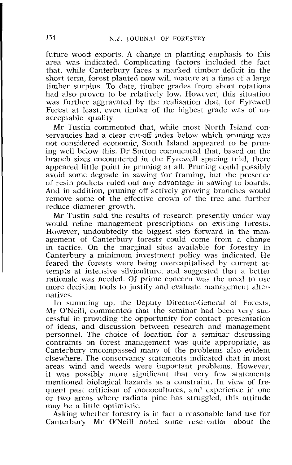future wood exports. A change in planting emphasis to this area was indicated. Complicating factors included the fact that, while Canterbury faces a marked timber deficit in the short term, forest planted now will mature at a time of a large timber surplus. To date, timber grades from short rotations had also proven to be relatively low. However, this situation was further aggravated bv the realisation that, for Eyrewell Forest at least, even timber of the highest grade was of unacceptable quality.

Mr Tustin commented that, while most North Island conservancies had a clear cut-off index below which pruning was not considered economic, South Island appeared to be pruning well below this. Dr Sutton commented that, based on the branch sizes encountered in the Eyrewell spacing trial, there appeared little point in pruning at all. Pruning could possibly avoid some degrade in sawing for framing, but the presence of resin pockets ruled out any advantage in sawing to boards. And in addition, pruning off actively growing branches would remove some ot the effective crown of the tree and further reduce diameter growth.

Mr Tustin said the results of research presently under way would refine management prescriptions on existing forests. However, undoubtedly the biggest step forward in the management of Canterbury forests could come from a change in tactics. On the marginal sites available for forestry in Canterbury a minimum investment policy was indicated. He feared the forests were being overcapitalised by current artempts at intensive silviculture, and suggested that a better rationale was needed. Of prime concern was the need to use more decision tools to justify and evaluate management alternatives.

In summing up, the Deputy Director-General of Forests, Mr O'Neill, commented' that the seminar had been very successful in providing the opportunity for contact, presentation of ideas, and discussion between research and management personnel. The choice of location for a seminar discussing contraints on forest management was quite appropriate, as Canterbury encompassed many of the problems also evident elsewhere. The conservancy statements indicated that in most areas wind and weeds were important problems. However, it was possibly more significant that very few statements mentioned biological hazards as a constraint. In view of frequent past criticism of monocultures, and experience in one or two areas where radiata pine has struggled, this attitude may be a little optimistic.

Asking whether forestry is in fact a reasonable land use for Canterbury, Mr O'Neill noted some reservation about the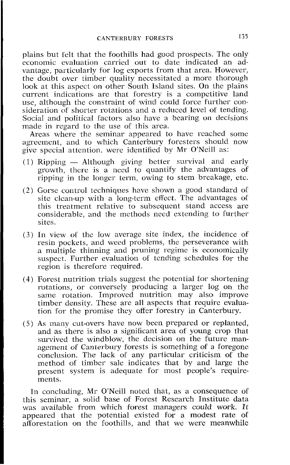plains but felt that the foothills had good prospects. The only economic evaluation carried out to date indicated an advantage, particularly for log exports from that area. However, the doubt over timber quality necessitated a more thorough look at this aspect on other South Island sites. On the plains current indications are that forestry is a competitive land use, although the constraint of wind could force further consideration of shorter rotations and a reduced level of tending. SociaI and political factors also have a bearing on decisions made in regard to the use of this area.

Areas where the seminar appeared to have reached somc agreement, and to which Canterbury foresters should now

- give special attention. were identified by Mr O'Neill as:<br>
(1) Ripping Although giving better survival and early<br>
(1) Ripping Although giving better survival and early growth, there is a need to quantify the advantages of ripping in the longer term, owing to stem brcakage, etc.
- (2) Gorse control techniques have shown a good standard of site clcan-up with **a** long-term effect. Thc advantages of this treatment relative to subsequent stand access are considerable, and the methods need extending to further sites.
- (3) In view of the low average sitc index, the incidence of resin pockets, and weed problems, the perseverance with a multiple thinning and pruning regime is economically suspect. Further evaluation of tending schedules for the region is therefore required.
- $(4)$  Forest nutrition trials suggest the potential for shortening rotations, or conversely producing a larger log on the same rotation. Improved nutrition may also improve timber dcnsity. These are all aspects that require evaluation for the promise they offer forestry in Canterbury.
- (5) As many cut-overs have now been prepared or replanted, and as there is also a significant area of young crop that survived the windblow, the decision on the future management of Canterbury forests is something of a foregone conclusion. The lack of any particular criticism of the method of timber sale indicates that by and large the present system is adequate for most people's requirements.

In concluding, Mr O'Neill noted that, as a consequence of this seminar, a solid base of Forest Research Institute data was available from which forcst managers *could* work. It appeared that the potential existed for a modest rate of afforestation on the foothills, and that we were meanwhile